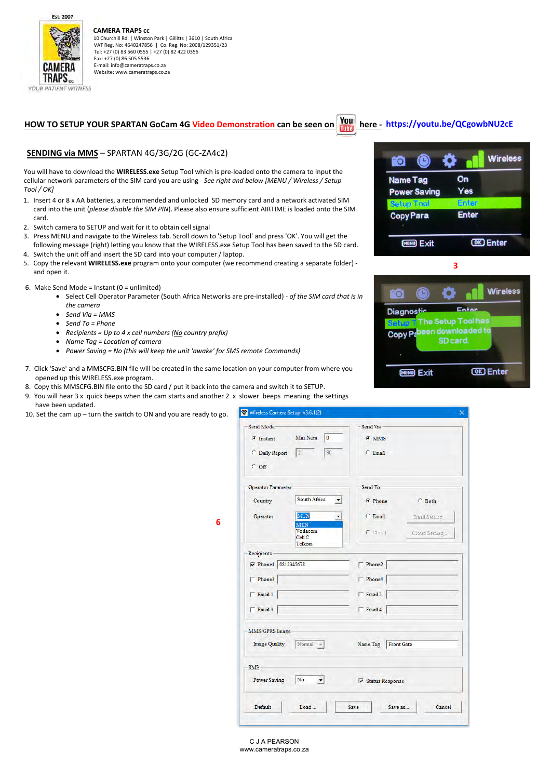Est. 2007

CAMER TRAPS. **YOUR PATIENT WITNESS** 



 10 Churchill Rd. | Winston Park | Gillitts | 3610 | South Africa VAT Reg. No: 4640247856 | Co. Reg. No: 2008/129351/23 Tel: +27 (0) 83 560 0555 | +27 (0) 82 422 0356 Fax: +27 (0) 86 505 5536 E‐mail: info@cameratraps.co.za Website: www.cameratraps.co.za

# **HOW TO SETUP YOUR SPARTAN GoCam 4G Video Demonstration can be seen on here - <https://youtu.be/QCgowbNU2cE>**

# **SENDING via MMS** – SPARTAN 4G/3G/2G (GC‐ZA4c2)

You will have to download the **WIRELESS.exe** Setup Tool which is pre-loaded onto the camera to input the cellular network parameters of the SIM card you are using - *See right and below [MENU / Wireless / Setup Tool / OK]*

- 1. Insert 4 or 8 x AA batteries, a recommended and unlocked SD memory card and a network activated SIM card into the unit (*please disable the SIM PIN*). Please also ensure sufficient AIRTIME is loaded onto the SIM card.
- 2. Switch camera to SETUP and wait for it to obtain cell signal
- 3. Press MENU and navigate to the Wireless tab. Scroll down to 'Setup Tool' and press 'OK'. You will get the following message (right) letting you know that the WIRELESS.exe Setup Tool has been saved to the SD card. 4. Switch the unit off and insert the SD card into your computer / laptop.
- 5. Copy the relevant **WIRELESS.exe** program onto your computer (we recommend creating a separate folder) and open it.
- 6. Make Send Mode = Instant ( $0 =$  unlimited)
	- Select Cell Operator Parameter (South Africa Networks are pre-installed) *of the SIM card that is in the camera*

**6** 

- *Send Via = MMS*
- *Send To = Phone*
- *Recipients = Up to 4 x cell numbers (No country prefix)*
- *Name Tag = Location of camera*
- *Power Saving = No (this will keep the unit 'awake' for SMS remote Commands)*
- 7. Click 'Save' and a MMSCFG.BIN file will be created in the same location on your computer from where you opened up this WIRELESS.exe program.
- 8. Copy this MMSCFG.BIN file onto the SD card / put it back into the camera and switch it to SETUP.
- 9. You will hear 3 x quick beeps when the cam starts and another 2 x slower beeps meaning the settings have been updated.

10. Set the cam up – turn the switch to ON and you are ready to go.

| Send Mode-                   |                                                 | Send Via                      |               |
|------------------------------|-------------------------------------------------|-------------------------------|---------------|
| $G$ Instant                  | Max Num<br>10                                   | $G$ MMS                       |               |
| C Daily Report<br>$\cap$ Off | $[21]$<br>30                                    | $\subset$ Email               |               |
|                              |                                                 |                               |               |
| Operator Parameter           |                                                 | Send To                       |               |
| Country                      | South Africa                                    | <b>C</b> Phone                | $C$ Both      |
| Operator                     | MTN                                             | $C$ Email                     | Email Setting |
|                              | <b>MTN</b><br><b>Vodacom</b><br>Cel1C<br>Telkom | $C$ Cloud                     | Cloud Setting |
| <b>Recipients</b>            |                                                 |                               |               |
| $\sqrt{P}$ Phonel            | 0812345678                                      | Phone2                        |               |
| Phone3                       |                                                 | $\Gamma$ Phone4               |               |
| Email 1                      |                                                 | $\Gamma$ Email 2              |               |
| Email 3                      |                                                 | $\Box$ Email 4                |               |
| MMS/GPRS Image               |                                                 |                               |               |
| <b>Image Quality</b>         | $Normal$ -                                      | Name Tag<br><b>Front Gate</b> |               |
| <b>SMS</b>                   |                                                 |                               |               |
| <b>Power Saving</b>          | No<br>$\mathbf{r}$                              | <b>▽ Status Response</b>      |               |
| Default                      | Load                                            | Save<br>Save as               | Cancel        |



**3 Wireless** To. n **Diagnostic**  $F - F$ The Setup Tool has en downloaded to Copy<sub>Pa</sub> SD card **OK** Enter **DEATH EVIL**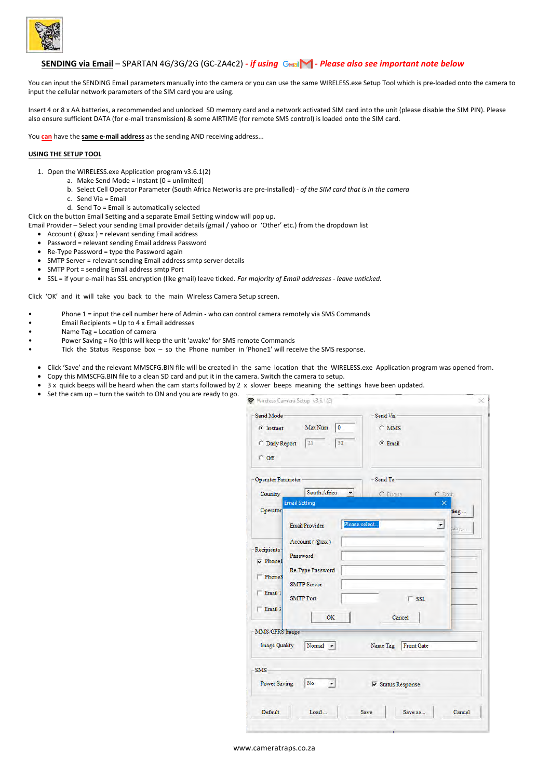

# **SENDING via Email** – SPARTAN 4G/3G/2G (GC-ZA4c2) - if using GMail● - Please also see important note below

You can input the SENDING Email parameters manually into the camera or you can use the same WIRELESS.exe Setup Tool which is pre-loaded onto the camera to input the cellular network parameters of the SIM card you are using.

Insert 4 or 8 x AA batteries, a recommended and unlocked SD memory card and a network activated SIM card into the unit (please disable the SIM PIN). Please also ensure sufficient DATA (for e-mail transmission) & some AIRTIME (for remote SMS control) is loaded onto the SIM card.

You **can** have the **same e-mail address** as the sending AND receiving address...

### **USING THE SETUP TOOL**

- 1. Open the WIRELESS.exe Application program v3.6.1(2)
	- a. Make Send Mode = Instant  $(0 = \text{unlimited})$
	- b. Select Cell Operator Parameter (South Africa Networks are pre-installed)  *of the SIM card that is in the camera*
	- c. Send Via = Email
	- d. Send To = Email is automatically selected

Click on the button Email Setting and a separate Email Setting window will pop up.

- Email Provider Select your sending Email provider details (gmail / yahoo or 'Other' etc.) from the dropdown list
	- Account ( $@xxx$ ) = relevant sending Email address
	- Password = relevant sending Email address Password
	- Re-Type Password = type the Password again
	- SMTP Server = relevant sending Email address smtp server details
	- SMTP Port = sending Email address smtp Port
	- SSL = if your e-mail has SSL encryption (like gmail) leave ticked. *For majority of Email addresses leave unticked.*

Click 'OK' and it will take you back to the main Wireless Camera Setup screen.

- Phone 1 = input the cell number here of Admin who can control camera remotely via SMS Commands
- Email Recipients = Up to 4 x Email addresses
- Name Tag = Location of camera
- Power Saving = No (this will keep the unit 'awake' for SMS remote Commands
- Tick the Status Response box so the Phone number in 'Phone1' will receive the SMS response.
- Click 'Save' and the relevant MMSCFG.BIN file will be created in the same location that the WIRELESS.exe Application program was opened from.
- Copy this MMSCFG.BIN file to a clean SD card and put it in the camera. Switch the camera to setup.
- 3 x quick beeps will be heard when the cam starts followed by 2 x slower beeps meaning the settings have been updated.
- Set the cam up turn the switch to ON and you are ready to go.

| Send Mode-                                                           |                                                                                                                                                    | Send Via                                               |
|----------------------------------------------------------------------|----------------------------------------------------------------------------------------------------------------------------------------------------|--------------------------------------------------------|
| $G$ Instant                                                          | Max Num<br>10                                                                                                                                      | $\cap$ MMS                                             |
| C Daily Report                                                       | 21<br>30                                                                                                                                           | $G$ Email                                              |
| $C$ Off                                                              |                                                                                                                                                    |                                                        |
| Operator Parameter                                                   |                                                                                                                                                    | Send To                                                |
| Country                                                              | South Africa<br>▾                                                                                                                                  | C Phone<br>$C$ Both                                    |
| Operator                                                             | <b>Email Setting</b>                                                                                                                               | ×<br>ting                                              |
| <b>Recipients</b><br>$\nabla$ Phone1<br>Phone3<br>Email 1<br>Email 3 | Please select<br><b>Email Provider</b><br>$Account(\mathcal{Q}xx)$<br>Password<br>Re-Type Password<br><b>SMTP Server</b><br><b>SMTP Port</b><br>OK | $\blacktriangledown$<br>ting<br>$\Gamma$ SSL<br>Cancel |
| MMS/GPRS Image-                                                      |                                                                                                                                                    |                                                        |
| <b>Image Quality</b>                                                 | Normal $\blacktriangledown$                                                                                                                        | <b>Front Gate</b><br>Name Tag                          |
| SMS-                                                                 |                                                                                                                                                    |                                                        |
| <b>Power Saving</b>                                                  | No<br>$\vert$                                                                                                                                      | <b>▽ Status Response</b>                               |
| Default                                                              | Load                                                                                                                                               | Save<br>Cancel<br>Save as                              |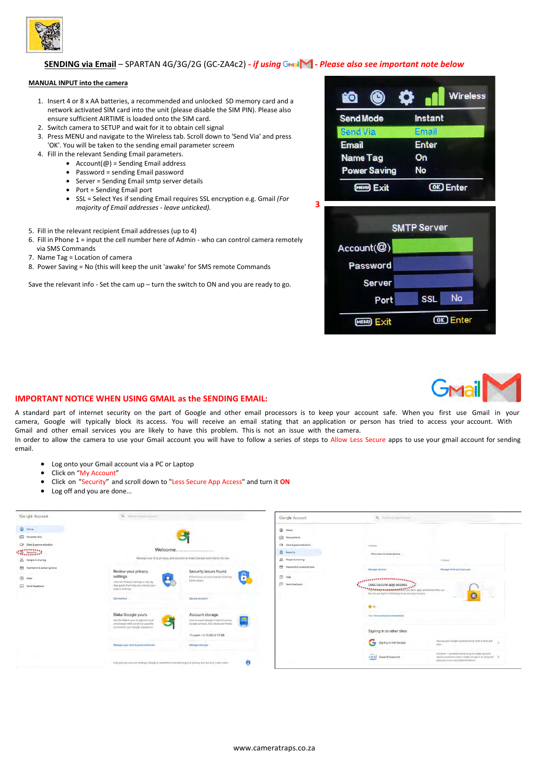

# **SENDING via Email** – SPARTAN 4G/3G/2G (GC-ZA4c2) - *if using* GMail∧ - Please also see important note below

### **MANUAL INPUT into the camera**

- 1. Insert 4 or 8 x AA batteries, a recommended and unlocked SD memory card and a network activated SIM card into the unit (please disable the SIM PIN). Please also ensure sufficient AIRTIME is loaded onto the SIM card.
- 2. Switch camera to SETUP and wait for it to obtain cell signal 3. Press MENU and navigate to the Wireless tab. Scroll down to 'Send Via' and press
- 'OK'. You will be taken to the sending email parameter screem
- 4. Fill in the relevant Sending Email parameters.
	- Account $(\omega)$  = Sending Email address
	- Password = sending Email password • Server = Sending Email smtp server details
	- Port = Sending Email port
	- SSL = Select Yes if sending Email requires SSL encryption e.g. Gmail *(For majority of Email addresses - leave unticked).*
- 5. Fill in the relevant recipient Email addresses (up to 4)
- 6. Fill in Phone 1 = input the cell number here of Admin who can control camera remotely via SMS Commands
- 7. Name Tag = Location of camera
- 8. Power Saving = No (this will keep the unit 'awake' for SMS remote Commands

Save the relevant info - Set the cam up – turn the switch to ON and you are ready to go.

| FO <sup>-</sup>     | <b>Wireless</b> |
|---------------------|-----------------|
| <b>Send Mode</b>    | Instant         |
| <b>Send Via</b>     | Email           |
| <b>Email</b>        | <b>Enter</b>    |
| <b>Name Tag</b>     | On              |
| <b>Power Saving</b> | No              |
| Exit                | <b>Enter</b>    |





### **IMPORTANT NOTICE WHEN USING GMAIL as the SENDING EMAIL:**

A standard part of internet security on the part of Google and other email processors is to keep your account safe. When you first use Gmail in your camera, Google will typically block its access. You will receive an email stating that an application or person has tried to access your account. With Gmail and other email services you are likely to have this problem. This is not an issue with the camera. In order to allow the camera to use your Gmail account you will have to follow a series of steps to Allow Less Secure apps to use your gmail account for sending email.

- Log onto your Gmail account via a PC or Laptop
- Click on "My Account"
- Click on "Security" and scroll down to "Less Secure App Access" and turn it **ON**
- Log off and you are done...